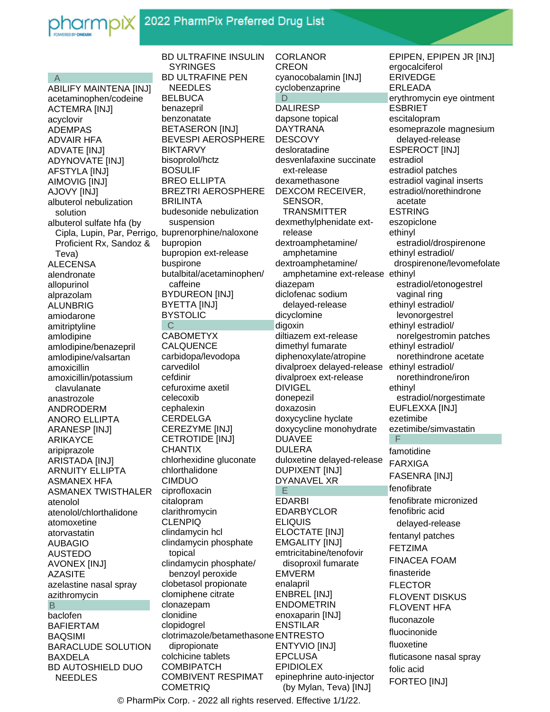

## A

ABILIFY MAINTENA [INJ] acetaminophen/codeine ACTEMRA [INJ] acyclovir ADEMPAS ADVAIR HFA ADVATE [INJ] ADYNOVATE [INJ] AFSTYLA [INJ] AIMOVIG [INJ] AJOVY [INJ] albuterol nebulization solution albuterol sulfate hfa (by Cipla, Lupin, Par, Perrigo, buprenorphine/naloxone Proficient Rx, Sandoz & Teva) ALECENSA alendronate allopurinol alprazolam ALUNBRIG amiodarone amitriptyline amlodipine amlodipine/benazepril amlodipine/valsartan amoxicillin amoxicillin/potassium clavulanate anastrozole ANDRODERM ANORO ELLIPTA ARANESP [INJ] ARIKAYCE aripiprazole ARISTADA [INJ] ARNUITY ELLIPTA ASMANEX HFA ASMANEX TWISTHALER atenolol atenolol/chlorthalidone atomoxetine atorvastatin AUBAGIO AUSTEDO AVONEX [INJ] AZASITE azelastine nasal spray azithromycin B baclofen BAFIERTAM BAQSIMI BARACLUDE SOLUTION BAXDELA BD AUTOSHIELD DUO NEEDLES

BD ULTRAFINE INSULIN **SYRINGES** BD ULTRAFINE PEN NEEDLES **BELBUCA** benazepril benzonatate BETASERON [INJ] BEVESPI AEROSPHERE BIKTARVY bisoprolol/hctz BOSULIF BREO ELLIPTA BREZTRI AEROSPHERE BRILINTA budesonide nebulization suspension bupropion bupropion ext-release buspirone butalbital/acetaminophen/ caffeine BYDUREON [INJ] BYETTA [INJ] BYSTOLIC C CABOMETYX CALQUENCE carbidopa/levodopa carvedilol cefdinir cefuroxime axetil celecoxib cephalexin **CERDELGA** CEREZYME [INJ] CETROTIDE [INJ] **CHANTIX** chlorhexidine gluconate chlorthalidone CIMDUO ciprofloxacin citalopram clarithromycin CLENPIQ clindamycin hcl clindamycin phosphate topical clindamycin phosphate/ benzoyl peroxide clobetasol propionate clomiphene citrate clonazepam clonidine clopidogrel clotrimazole/betamethasone ENTRESTO dipropionate colchicine tablets **COMBIPATCH** COMBIVENT RESPIMAT **COMETRIQ** 

CORLANOR CREON cyanocobalamin [INJ] cyclobenzaprine D DALIRESP dapsone topical DAYTRANA **DESCOVY** desloratadine desvenlafaxine succinate ext-release dexamethasone DEXCOM RECEIVER, SENSOR, TRANSMITTER dexmethylphenidate ext release dextroamphetamine/ amphetamine dextroamphetamine/ amphetamine ext-release ethinyl diazepam diclofenac sodium delayed-release dicyclomine digoxin diltiazem ext-release dimethyl fumarate diphenoxylate/atropine divalproex delayed-release ethinyl estradiol/ divalproex ext-release DIVIGEL donepezil doxazosin doxycycline hyclate doxycycline monohydrate DUAVEE DULERA duloxetine delayed-release DUPIXENT [INJ] DYANAVEL XR E EDARBI EDARBYCLOR ELIQUIS ELOCTATE [INJ] EMGALITY [INJ] emtricitabine/tenofovir disoproxil fumarate EMVERM enalapril ENBREL [INJ] ENDOMETRIN enoxaparin [INJ] ENSTILAR ENTYVIO [INJ] EPCLUSA EPIDIOLEX epinephrine auto-injector

(by Mylan, Teva) [INJ]

EPIPEN, EPIPEN JR [INJ] ergocalciferol ERIVEDGE ERLEADA erythromycin eye ointment ESBRIET escitalopram esomeprazole magnesium delayed-release ESPEROCT [INJ] estradiol estradiol patches estradiol vaginal inserts estradiol/norethindrone acetate ESTRING eszopiclone ethinyl estradiol/drospirenone ethinyl estradiol/ drospirenone/levomefolate estradiol/etonogestrel vaginal ring ethinyl estradiol/ levonorgestrel ethinyl estradiol/ norelgestromin patches ethinyl estradiol/ norethindrone acetate norethindrone/iron ethinyl estradiol/norgestimate EUFLEXXA [INJ] ezetimibe ezetimibe/simvastatin F famotidine FARXIGA FASENRA [INJ] fenofibrate fenofibrate micronized fenofibric acid delayed-release fentanyl patches FETZIMA FINACEA FOAM finasteride FLECTOR FLOVENT DISKUS FLOVENT HFA fluconazole fluocinonide fluoxetine fluticasone nasal spray folic acid FORTEO [INJ]

© PharmPix Corp. - 2022 all rights reserved. Effective 1/1/22.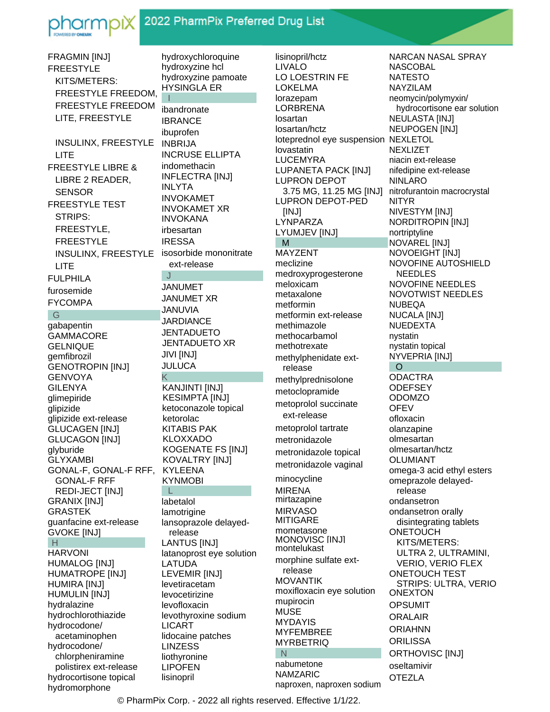

## 2022 PharmPix Preferred Drug List

FRAGMIN [INJ] hydroxychloroquine hydroxyzine hcl **FREESTYLE** KITS/METERS: FREESTYLE FREEDOM, **FREESTYLE FREEDOM** LITE, FREESTYLE INSULINX, FREESTYLE LITE **FREESTYLE LIBRE &** LIBRE 2 READER. **SENSOR FREESTYLE TEST STRIPS:** FREESTYLE. **FREESTYLE** INSULINX, FREESTYLE isosorbide mononitrate LITE **FULPHILA** furosemide **FYCOMPA**  $\overline{G}$ gabapentin **GAMMACORE GELNIQUE** gemfibrozil **GENOTROPIN [INJ] GENVOYA GILENYA** glimepiride glipizide glipizide ext-release **GLUCAGEN [INJ] GLUCAGON [INJ]** glyburide **GLYXAMBI** GONAL-F, GONAL-F RFF, **GONAL-F RFF** REDI-JECT [INJ] **GRANIX [INJ] GRASTEK** guanfacine ext-release **GVOKE [INJ]** -H **HARVONI HUMALOG [INJ]** HUMATROPE [INJ] **HUMIRA [INJ] HUMULIN [INJ]** hydralazine hydrochlorothiazide hydrocodone/ acetaminophen hydrocodone/ chlorpheniramine polistirex ext-release hydrocortisone topical

hydromorphone

hydroxyzine pamoate **HYSINGLA ER** ibandronate **IBRANCE** ibuprofen **INBRIJA INCRUSE ELLIPTA** indomethacin **INFLECTRA [INJ] INLYTA INVOKAMET INVOKAMET XR INVOKANA** irbesartan **IRESSA** ext-release ി **JANUMET JANUMET XR JANUVIA JARDIANCE JENTADUETO JENTADUETO XR JIVI [INJ] JULUCA** Κ KANJINTI [INJ] **KESIMPTA [INJ]** ketoconazole topical ketorolac **KITABIS PAK KLOXXADO KOGENATE FS [INJ]** KOVALTRY [INJ] **KYLEENA KYNMOBI** - Li labetalol lamotrigine lansoprazole delayedrelease **LANTUS [INJ]** latanoprost eye solution LATUDA LEVEMIR [INJ] levetiracetam levocetirizine levofloxacin levothyroxine sodium **LICART** lidocaine patches **LINZESS** liothyronine **LIPOFEN** lisinopril

lisinopril/hctz LIVALO LO LOESTRIN FE **LOKELMA** lorazepam **LORBRENA** losartan losartan/hctz loteprednol eye suspension NEXLETOL lovastatin **LUCEMYRA LUPANETA PACK [INJ] LUPRON DEPOT** 3.75 MG, 11.25 MG [INJ] **LUPRON DEPOT-PED** [INJ] LYNPARZA LYUMJEV [INJ] M **MAYZENT** meclizine medroxyprogesterone meloxicam metaxalone metformin metformin ext-release methimazole methocarbamol methotrexate methylphenidate extrelease methylprednisolone metoclopramide metoprolol succinate ext-release metoprolol tartrate metronidazole metronidazole topical metronidazole vaginal minocycline **MIRENA** mirtazapine **MIRVASO MITIGARE** mometasone MONOVISC IINJI montelukast morphine sulfate extrelease **MOVANTIK** moxifloxacin eye solution mupirocin **MUSE MYDAYIS MYFEMBREE MYRBETRIQ**  $N$ nabumetone **NAMZARIC** naproxen, naproxen sodium

NARCAN NASAL SPRAY **NASCOBAL NATESTO NAYZILAM** neomycin/polymyxin/ hydrocortisone ear solution NEULASTA [INJ] NEUPOGEN [INJ] **NEXLIZET** niacin ext-release nifedipine ext-release **NINLARO** nitrofurantoin macrocrystal **NITYR** NIVESTYM [INJ] NORDITROPIN [INJ] nortriptyline NOVAREL [INJ] **NOVOEIGHT [INJ]** NOVOFINE AUTOSHIELD **NEEDLES NOVOFINE NEEDLES NOVOTWIST NEEDLES NUBEQA NUCALA [INJ] NUEDEXTA** nystatin nystatin topical NYVEPRIA [INJ]  $\circ$ **ODACTRA ODEFSEY ODOMZO OFEV** ofloxacin olanzapine olmesartan olmesartan/hctz **OLUMIANT** omega-3 acid ethyl esters omeprazole delayedrelease ondansetron ondansetron orally disintegrating tablets **ONETOUCH** KITS/METERS: ULTRA 2, ULTRAMINI, **VERIO, VERIO FLEX ONETOUCH TEST** STRIPS: ULTRA, VERIO **ONEXTON OPSUMIT ORALAIR ORIAHNN ORILISSA ORTHOVISC [INJ]** oseltamivir **OTEZLA** 

© PharmPix Corp. - 2022 all rights reserved. Effective 1/1/22.